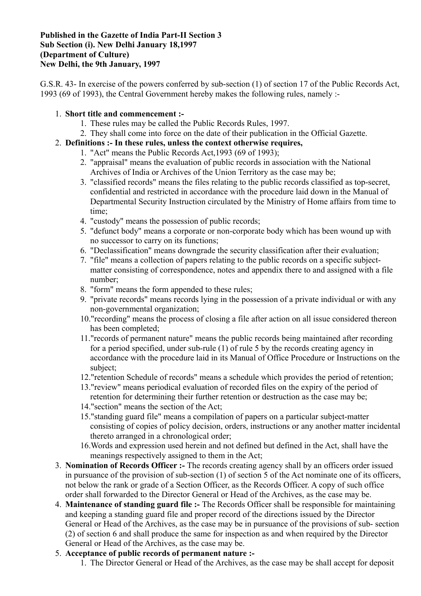#### **Published in the Gazette of India Part-II Section 3 Sub Section (i). New Delhi January 18,1997 (Department of Culture) New Delhi, the 9th January, 1997**

G.S.R. 43- In exercise of the powers conferred by sub-section (1) of section 17 of the Public Records Act, 1993 (69 of 1993), the Central Government hereby makes the following rules, namely :-

#### 1. **Short title and commencement :-**

- 1. These rules may be called the Public Records Rules, 1997.
- 2. They shall come into force on the date of their publication in the Official Gazette.

## 2. **Definitions :- In these rules, unless the context otherwise requires,**

- 1. "Act" means the Public Records Act,1993 (69 of 1993);
- 2. "appraisal" means the evaluation of public records in association with the National Archives of India or Archives of the Union Territory as the case may be;
- 3. "classified records" means the files relating to the public records classified as top-secret, confidential and restricted in accordance with the procedure laid down in the Manual of Departmental Security Instruction circulated by the Ministry of Home affairs from time to time;
- 4. "custody" means the possession of public records;
- 5. "defunct body" means a corporate or non-corporate body which has been wound up with no successor to carry on its functions;
- 6. "Declassification" means downgrade the security classification after their evaluation;
- 7. "file" means a collection of papers relating to the public records on a specific subjectmatter consisting of correspondence, notes and appendix there to and assigned with a file number;
- 8. "form" means the form appended to these rules;
- 9. "private records" means records lying in the possession of a private individual or with any non-governmental organization;
- 10."recording" means the process of closing a file after action on all issue considered thereon has been completed;
- 11."records of permanent nature" means the public records being maintained after recording for a period specified, under sub-rule (1) of rule 5 by the records creating agency in accordance with the procedure laid in its Manual of Office Procedure or Instructions on the subject;
- 12."retention Schedule of records" means a schedule which provides the period of retention;
- 13."review" means periodical evaluation of recorded files on the expiry of the period of retention for determining their further retention or destruction as the case may be;
- 14."section" means the section of the Act;
- 15."standing guard file" means a compilation of papers on a particular subject-matter consisting of copies of policy decision, orders, instructions or any another matter incidental thereto arranged in a chronological order;
- 16.Words and expression used herein and not defined but defined in the Act, shall have the meanings respectively assigned to them in the Act;
- 3. **Nomination of Records Officer :-** The records creating agency shall by an officers order issued in pursuance of the provision of sub-section (1) of section 5 of the Act nominate one of its officers, not below the rank or grade of a Section Officer, as the Records Officer. A copy of such office order shall forwarded to the Director General or Head of the Archives, as the case may be.
- 4. **Maintenance of standing guard file :-** The Records Officer shall be responsible for maintaining and keeping a standing guard file and proper record of the directions issued by the Director General or Head of the Archives, as the case may be in pursuance of the provisions of sub- section (2) of section 6 and shall produce the same for inspection as and when required by the Director General or Head of the Archives, as the case may be.
- 5. **Acceptance of public records of permanent nature :-**
	- 1. The Director General or Head of the Archives, as the case may be shall accept for deposit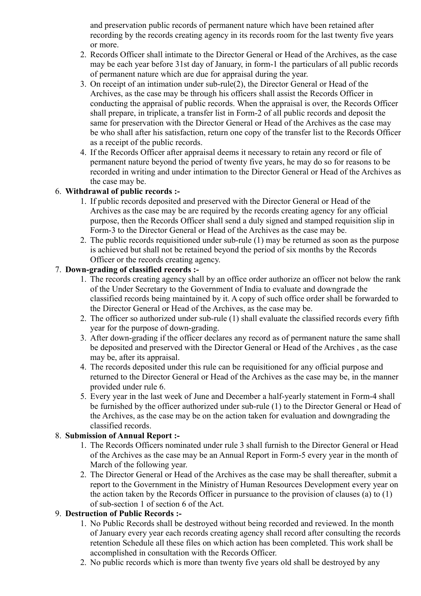and preservation public records of permanent nature which have been retained after recording by the records creating agency in its records room for the last twenty five years or more.

- 2. Records Officer shall intimate to the Director General or Head of the Archives, as the case may be each year before 31st day of January, in form-1 the particulars of all public records of permanent nature which are due for appraisal during the year.
- 3. On receipt of an intimation under sub-rule(2), the Director General or Head of the Archives, as the case may be through his officers shall assist the Records Officer in conducting the appraisal of public records. When the appraisal is over, the Records Officer shall prepare, in triplicate, a transfer list in Form-2 of all public records and deposit the same for preservation with the Director General or Head of the Archives as the case may be who shall after his satisfaction, return one copy of the transfer list to the Records Officer as a receipt of the public records.
- 4. If the Records Officer after appraisal deems it necessary to retain any record or file of permanent nature beyond the period of twenty five years, he may do so for reasons to be recorded in writing and under intimation to the Director General or Head of the Archives as the case may be.

## 6. **Withdrawal of public records :-**

- 1. If public records deposited and preserved with the Director General or Head of the Archives as the case may be are required by the records creating agency for any official purpose, then the Records Officer shall send a duly signed and stamped requisition slip in Form-3 to the Director General or Head of the Archives as the case may be.
- 2. The public records requisitioned under sub-rule (1) may be returned as soon as the purpose is achieved but shall not be retained beyond the period of six months by the Records Officer or the records creating agency.

## 7. **Down-grading of classified records :-**

- 1. The records creating agency shall by an office order authorize an officer not below the rank of the Under Secretary to the Government of India to evaluate and downgrade the classified records being maintained by it. A copy of such office order shall be forwarded to the Director General or Head of the Archives, as the case may be.
- 2. The officer so authorized under sub-rule (1) shall evaluate the classified records every fifth year for the purpose of down-grading.
- 3. After down-grading if the officer declares any record as of permanent nature the same shall be deposited and preserved with the Director General or Head of the Archives , as the case may be, after its appraisal.
- 4. The records deposited under this rule can be requisitioned for any official purpose and returned to the Director General or Head of the Archives as the case may be, in the manner provided under rule 6.
- 5. Every year in the last week of June and December a half-yearly statement in Form-4 shall be furnished by the officer authorized under sub-rule (1) to the Director General or Head of the Archives, as the case may be on the action taken for evaluation and downgrading the classified records.

#### 8. **Submission of Annual Report :-**

- 1. The Records Officers nominated under rule 3 shall furnish to the Director General or Head of the Archives as the case may be an Annual Report in Form-5 every year in the month of March of the following year.
- 2. The Director General or Head of the Archives as the case may be shall thereafter, submit a report to the Government in the Ministry of Human Resources Development every year on the action taken by the Records Officer in pursuance to the provision of clauses (a) to (1) of sub-section 1 of section 6 of the Act.

# 9. **Destruction of Public Records :-**

- 1. No Public Records shall be destroyed without being recorded and reviewed. In the month of January every year each records creating agency shall record after consulting the records retention Schedule all these files on which action has been completed. This work shall be accomplished in consultation with the Records Officer.
- 2. No public records which is more than twenty five years old shall be destroyed by any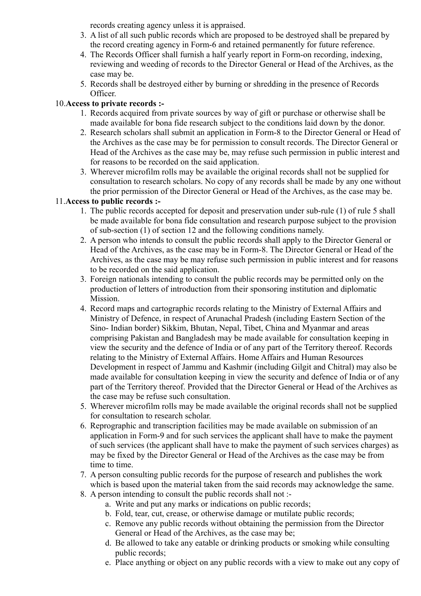records creating agency unless it is appraised.

- 3. A list of all such public records which are proposed to be destroyed shall be prepared by the record creating agency in Form-6 and retained permanently for future reference.
- 4. The Records Officer shall furnish a half yearly report in Form-on recording, indexing, reviewing and weeding of records to the Director General or Head of the Archives, as the case may be.
- 5. Records shall be destroyed either by burning or shredding in the presence of Records Officer.

# 10.**Access to private records :-**

- 1. Records acquired from private sources by way of gift or purchase or otherwise shall be made available for bona fide research subject to the conditions laid down by the donor.
- 2. Research scholars shall submit an application in Form-8 to the Director General or Head of the Archives as the case may be for permission to consult records. The Director General or Head of the Archives as the case may be, may refuse such permission in public interest and for reasons to be recorded on the said application.
- 3. Wherever microfilm rolls may be available the original records shall not be supplied for consultation to research scholars. No copy of any records shall be made by any one without the prior permission of the Director General or Head of the Archives, as the case may be.

# 11.**Access to public records :-**

- 1. The public records accepted for deposit and preservation under sub-rule (1) of rule 5 shall be made available for bona fide consultation and research purpose subject to the provision of sub-section (1) of section 12 and the following conditions namely.
- 2. A person who intends to consult the public records shall apply to the Director General or Head of the Archives, as the case may be in Form-8. The Director General or Head of the Archives, as the case may be may refuse such permission in public interest and for reasons to be recorded on the said application.
- 3. Foreign nationals intending to consult the public records may be permitted only on the production of letters of introduction from their sponsoring institution and diplomatic Mission.
- 4. Record maps and cartographic records relating to the Ministry of External Affairs and Ministry of Defence, in respect of Arunachal Pradesh (including Eastern Section of the Sino- Indian border) Sikkim, Bhutan, Nepal, Tibet, China and Myanmar and areas comprising Pakistan and Bangladesh may be made available for consultation keeping in view the security and the defence of India or of any part of the Territory thereof. Records relating to the Ministry of External Affairs. Home Affairs and Human Resources Development in respect of Jammu and Kashmir (including Gilgit and Chitral) may also be made available for consultation keeping in view the security and defence of India or of any part of the Territory thereof. Provided that the Director General or Head of the Archives as the case may be refuse such consultation.
- 5. Wherever microfilm rolls may be made available the original records shall not be supplied for consultation to research scholar.
- 6. Reprographic and transcription facilities may be made available on submission of an application in Form-9 and for such services the applicant shall have to make the payment of such services (the applicant shall have to make the payment of such services charges) as may be fixed by the Director General or Head of the Archives as the case may be from time to time.
- 7. A person consulting public records for the purpose of research and publishes the work which is based upon the material taken from the said records may acknowledge the same.
- 8. A person intending to consult the public records shall not :
	- a. Write and put any marks or indications on public records;
	- b. Fold, tear, cut, crease, or otherwise damage or mutilate public records;
	- c. Remove any public records without obtaining the permission from the Director General or Head of the Archives, as the case may be;
	- d. Be allowed to take any eatable or drinking products or smoking while consulting public records;
	- e. Place anything or object on any public records with a view to make out any copy of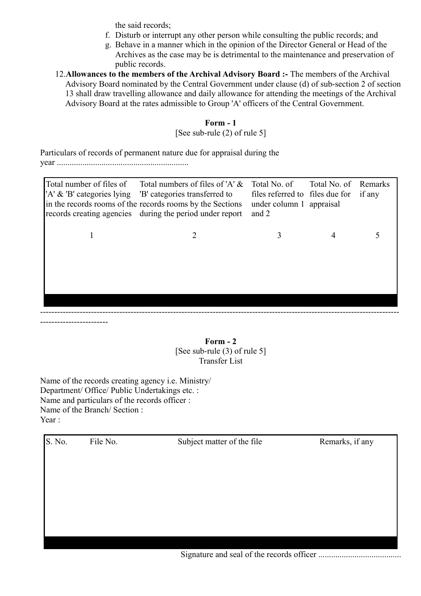the said records;

- f. Disturb or interrupt any other person while consulting the public records; and
- g. Behave in a manner which in the opinion of the Director General or Head of the Archives as the case may be is detrimental to the maintenance and preservation of public records.
- 12.**Allowances to the members of the Archival Advisory Board :-** The members of the Archival Advisory Board nominated by the Central Government under clause (d) of sub-section 2 of section 13 shall draw travelling allowance and daily allowance for attending the meetings of the Archival Advisory Board at the rates admissible to Group 'A' officers of the Central Government.

# **Form - 1**

#### [See sub-rule (2) of rule 5]

Particulars of records of permanent nature due for appraisal during the year ..............................................................

| Total number of files of<br>'A' & 'B' categories lying | Total numbers of files of 'A' $\&$<br>'B' categories transferred to<br>in the records rooms of the records rooms by the Sections<br>records creating agencies during the period under report | Total No. of<br>files referred to files due for<br>under column 1 appraisal<br>and 2 | Total No. of | Remarks<br>if any |
|--------------------------------------------------------|----------------------------------------------------------------------------------------------------------------------------------------------------------------------------------------------|--------------------------------------------------------------------------------------|--------------|-------------------|
|                                                        |                                                                                                                                                                                              |                                                                                      |              |                   |
|                                                        |                                                                                                                                                                                              |                                                                                      |              |                   |
|                                                        |                                                                                                                                                                                              |                                                                                      |              |                   |
|                                                        |                                                                                                                                                                                              |                                                                                      |              |                   |

#### **Form - 2** [See sub-rule (3) of rule 5] Transfer List

Name of the records creating agency i.e. Ministry/ Department/ Office/ Public Undertakings etc. : Name and particulars of the records officer : Name of the Branch/ Section : Year  $\cdot$ 

------------------------

| S. No. | File No. | Subject matter of the file                         | Remarks, if any |
|--------|----------|----------------------------------------------------|-----------------|
|        |          |                                                    |                 |
|        |          |                                                    |                 |
|        |          |                                                    |                 |
|        |          |                                                    |                 |
|        |          |                                                    |                 |
|        |          | $C_{i}$ anotano and soal of the measure of $C_{i}$ |                 |

Signature and seal of the records officer .......................................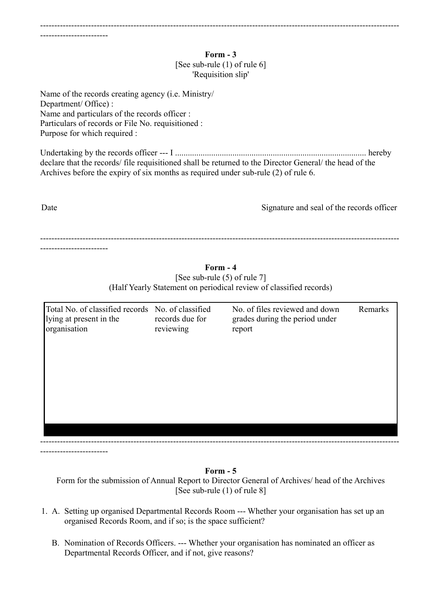#### **Form - 3** [See sub-rule (1) of rule 6] 'Requisition slip'

Name of the records creating agency (i.e. Ministry/ Department/ Office) : Name and particulars of the records officer : Particulars of records or File No. requisitioned : Purpose for which required :

Undertaking by the records officer --- I .......................................................................................... hereby declare that the records/ file requisitioned shall be returned to the Director General/ the head of the Archives before the expiry of six months as required under sub-rule (2) of rule 6.

Date Signature and seal of the records officer

------------------------------------------------------------------------------------------------------------------------------- ------------------------

> **Form - 4** [See sub-rule (5) of rule 7] (Half Yearly Statement on periodical review of classified records)

| Total No. of classified records No. of classified<br>lying at present in the<br>organisation | records due for<br>reviewing | No. of files reviewed and down<br>grades during the period under<br>report | Remarks |
|----------------------------------------------------------------------------------------------|------------------------------|----------------------------------------------------------------------------|---------|
|                                                                                              |                              |                                                                            |         |
|                                                                                              |                              |                                                                            |         |
|                                                                                              |                              |                                                                            |         |

------------------------

#### **Form - 5**

Form for the submission of Annual Report to Director General of Archives/ head of the Archives [See sub-rule (1) of rule 8]

- 1. A. Setting up organised Departmental Records Room --- Whether your organisation has set up an organised Records Room, and if so; is the space sufficient?
	- B. Nomination of Records Officers. --- Whether your organisation has nominated an officer as Departmental Records Officer, and if not, give reasons?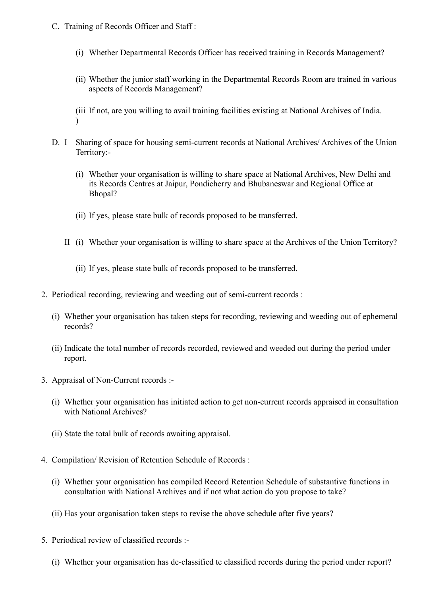- C. Training of Records Officer and Staff :
	- (i) Whether Departmental Records Officer has received training in Records Management?
	- (ii) Whether the junior staff working in the Departmental Records Room are trained in various aspects of Records Management?

(iii If not, are you willing to avail training facilities existing at National Archives of India. )

- D. I Sharing of space for housing semi-current records at National Archives/ Archives of the Union Territory:-
	- (i) Whether your organisation is willing to share space at National Archives, New Delhi and its Records Centres at Jaipur, Pondicherry and Bhubaneswar and Regional Office at Bhopal?
	- (ii) If yes, please state bulk of records proposed to be transferred.
	- II (i) Whether your organisation is willing to share space at the Archives of the Union Territory?
		- (ii) If yes, please state bulk of records proposed to be transferred.
- 2. Periodical recording, reviewing and weeding out of semi-current records :
	- (i) Whether your organisation has taken steps for recording, reviewing and weeding out of ephemeral records?
	- (ii) Indicate the total number of records recorded, reviewed and weeded out during the period under report.
- 3. Appraisal of Non-Current records :-
	- (i) Whether your organisation has initiated action to get non-current records appraised in consultation with National Archives?
	- (ii) State the total bulk of records awaiting appraisal.
- 4. Compilation/ Revision of Retention Schedule of Records :
	- (i) Whether your organisation has compiled Record Retention Schedule of substantive functions in consultation with National Archives and if not what action do you propose to take?
	- (ii) Has your organisation taken steps to revise the above schedule after five years?
- 5. Periodical review of classified records :-
	- (i) Whether your organisation has de-classified te classified records during the period under report?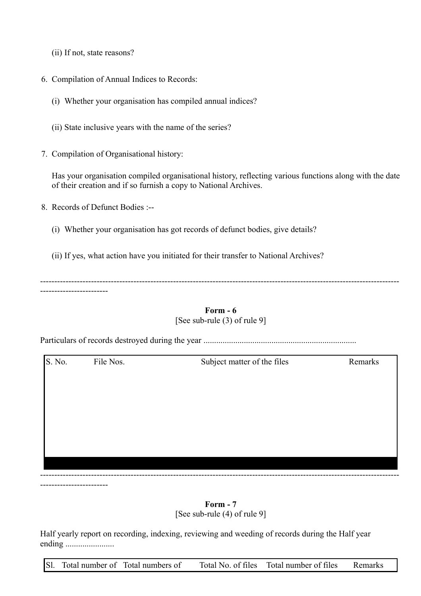- (ii) If not, state reasons?
- 6. Compilation of Annual Indices to Records:
	- (i) Whether your organisation has compiled annual indices?
	- (ii) State inclusive years with the name of the series?
- 7. Compilation of Organisational history:

Has your organisation compiled organisational history, reflecting various functions along with the date of their creation and if so furnish a copy to National Archives.

8. Records of Defunct Bodies :--

------------------------

- (i) Whether your organisation has got records of defunct bodies, give details?
- (ii) If yes, what action have you initiated for their transfer to National Archives?

------------------------------------------------------------------------------------------------------------------------------- ------------------------

#### **Form - 6** [See sub-rule (3) of rule 9]

Particulars of records destroyed during the year ........................................................................

S. No. File Nos. Subject matter of the files Remarks -------------------------------------------------------------------------------------------------------------------------------

# **Form - 7**

[See sub-rule (4) of rule 9]

Half yearly report on recording, indexing, reviewing and weeding of records during the Half year ending .......................

Sl. Total number of Total numbers of Total No. of files Total number of files Remarks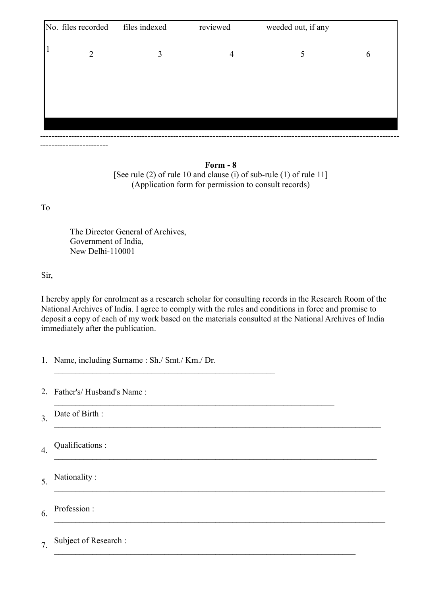| 3<br>5<br>$\overline{2}$<br>$\overline{4}$<br>6 | No. files recorded | files indexed | reviewed | weeded out, if any |  |
|-------------------------------------------------|--------------------|---------------|----------|--------------------|--|
|                                                 |                    |               |          |                    |  |
|                                                 |                    |               |          |                    |  |
|                                                 |                    |               |          |                    |  |
|                                                 |                    |               |          |                    |  |

**Form - 8** [See rule (2) of rule 10 and clause (i) of sub-rule (1) of rule 11] (Application form for permission to consult records)

To

------------------------

The Director General of Archives, Government of India, New Delhi-110001

Sir,

I hereby apply for enrolment as a research scholar for consulting records in the Research Room of the National Archives of India. I agree to comply with the rules and conditions in force and promise to deposit a copy of each of my work based on the materials consulted at the National Archives of India immediately after the publication.

 $\mathcal{L}_\mathcal{L} = \{ \mathcal{L}_\mathcal{L} = \{ \mathcal{L}_\mathcal{L} = \{ \mathcal{L}_\mathcal{L} = \{ \mathcal{L}_\mathcal{L} = \{ \mathcal{L}_\mathcal{L} = \{ \mathcal{L}_\mathcal{L} = \{ \mathcal{L}_\mathcal{L} = \{ \mathcal{L}_\mathcal{L} = \{ \mathcal{L}_\mathcal{L} = \{ \mathcal{L}_\mathcal{L} = \{ \mathcal{L}_\mathcal{L} = \{ \mathcal{L}_\mathcal{L} = \{ \mathcal{L}_\mathcal{L} = \{ \mathcal{L}_\mathcal{$ 

1. Name, including Surname : Sh./ Smt./ Km./ Dr.

 $\mathcal{L}_\text{max}$  , and the contract of the contract of the contract of the contract of the contract of the contract of

 $\mathcal{L}_\mathcal{L} = \{ \mathcal{L}_\mathcal{L} = \{ \mathcal{L}_\mathcal{L} = \{ \mathcal{L}_\mathcal{L} = \{ \mathcal{L}_\mathcal{L} = \{ \mathcal{L}_\mathcal{L} = \{ \mathcal{L}_\mathcal{L} = \{ \mathcal{L}_\mathcal{L} = \{ \mathcal{L}_\mathcal{L} = \{ \mathcal{L}_\mathcal{L} = \{ \mathcal{L}_\mathcal{L} = \{ \mathcal{L}_\mathcal{L} = \{ \mathcal{L}_\mathcal{L} = \{ \mathcal{L}_\mathcal{L} = \{ \mathcal{L}_\mathcal{$ 

2. Father's/ Husband's Name :

3. Date of Birth :  $\mathcal{L}_\mathcal{L} = \{ \mathcal{L}_\mathcal{L} = \{ \mathcal{L}_\mathcal{L} = \{ \mathcal{L}_\mathcal{L} = \{ \mathcal{L}_\mathcal{L} = \{ \mathcal{L}_\mathcal{L} = \{ \mathcal{L}_\mathcal{L} = \{ \mathcal{L}_\mathcal{L} = \{ \mathcal{L}_\mathcal{L} = \{ \mathcal{L}_\mathcal{L} = \{ \mathcal{L}_\mathcal{L} = \{ \mathcal{L}_\mathcal{L} = \{ \mathcal{L}_\mathcal{L} = \{ \mathcal{L}_\mathcal{L} = \{ \mathcal{L}_\mathcal{$ 

4. Qualifications :

5. Nationality :  $\mathcal{L}_\mathcal{L} = \{ \mathcal{L}_\mathcal{L} = \{ \mathcal{L}_\mathcal{L} = \{ \mathcal{L}_\mathcal{L} = \{ \mathcal{L}_\mathcal{L} = \{ \mathcal{L}_\mathcal{L} = \{ \mathcal{L}_\mathcal{L} = \{ \mathcal{L}_\mathcal{L} = \{ \mathcal{L}_\mathcal{L} = \{ \mathcal{L}_\mathcal{L} = \{ \mathcal{L}_\mathcal{L} = \{ \mathcal{L}_\mathcal{L} = \{ \mathcal{L}_\mathcal{L} = \{ \mathcal{L}_\mathcal{L} = \{ \mathcal{L}_\mathcal{$ 

6. Profession :  $\mathcal{L}_\mathcal{L} = \{ \mathcal{L}_\mathcal{L} = \{ \mathcal{L}_\mathcal{L} = \{ \mathcal{L}_\mathcal{L} = \{ \mathcal{L}_\mathcal{L} = \{ \mathcal{L}_\mathcal{L} = \{ \mathcal{L}_\mathcal{L} = \{ \mathcal{L}_\mathcal{L} = \{ \mathcal{L}_\mathcal{L} = \{ \mathcal{L}_\mathcal{L} = \{ \mathcal{L}_\mathcal{L} = \{ \mathcal{L}_\mathcal{L} = \{ \mathcal{L}_\mathcal{L} = \{ \mathcal{L}_\mathcal{L} = \{ \mathcal{L}_\mathcal{$ 

7. Subject of Research :  $\mathcal{L}_\text{max}$  , and the contribution of the contribution of the contribution of the contribution of the contribution of the contribution of the contribution of the contribution of the contribution of the contribution of t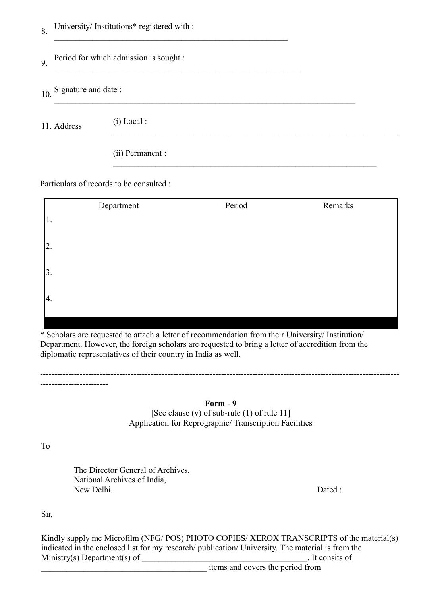| 8. |  | University/Institutions* registered with : |  |  |
|----|--|--------------------------------------------|--|--|
|----|--|--------------------------------------------|--|--|

 $\mathcal{L}_\text{max}$  , and the contract of the contract of the contract of the contract of the contract of the contract of the contract of the contract of the contract of the contract of the contract of the contract of the contr

 $\mathcal{L}_\text{max}$  , and the contribution of the contribution of the contribution of the contribution of the contribution of the contribution of the contribution of the contribution of the contribution of the contribution of t

#### 9. Period for which admission is sought :  $\mathcal{L}_\text{max}$  and the contract of the contract of the contract of the contract of the contract of the contract of

10 Signature and date :

11. Address (i) Local :

 $\mathcal{L}_\mathcal{L} = \{ \mathcal{L}_\mathcal{L} = \{ \mathcal{L}_\mathcal{L} = \{ \mathcal{L}_\mathcal{L} = \{ \mathcal{L}_\mathcal{L} = \{ \mathcal{L}_\mathcal{L} = \{ \mathcal{L}_\mathcal{L} = \{ \mathcal{L}_\mathcal{L} = \{ \mathcal{L}_\mathcal{L} = \{ \mathcal{L}_\mathcal{L} = \{ \mathcal{L}_\mathcal{L} = \{ \mathcal{L}_\mathcal{L} = \{ \mathcal{L}_\mathcal{L} = \{ \mathcal{L}_\mathcal{L} = \{ \mathcal{L}_\mathcal{$ 

(ii) Permanent :

Particulars of records to be consulted :

|     | Department | Period | Remarks |
|-----|------------|--------|---------|
| 1.  |            |        |         |
| 2.  |            |        |         |
| 3.  |            |        |         |
| 14. |            |        |         |
|     |            |        |         |

 $\mathcal{L}_\text{max}$  , and the contribution of the contribution of the contribution of the contribution of the contribution of the contribution of the contribution of the contribution of the contribution of the contribution of t

\* Scholars are requested to attach a letter of recommendation from their University/ Institution/ Department. However, the foreign scholars are requested to bring a letter of accredition from the diplomatic representatives of their country in India as well.

| m<br>mri |  |  |
|----------|--|--|
|----------|--|--|

-------------------------------------------------------------------------------------------------------------------------------

[See clause (v) of sub-rule (1) of rule 11] Application for Reprographic/ Transcription Facilities

To

------------------------

The Director General of Archives, National Archives of India, New Delhi. Dated : New Delhi.

Sir,

Kindly supply me Microfilm (NFG/ POS) PHOTO COPIES/ XEROX TRANSCRIPTS of the material(s) indicated in the enclosed list for my research/ publication/ University. The material is from the  $Ministry(s) Department(s) of$  It consits of

items and covers the period from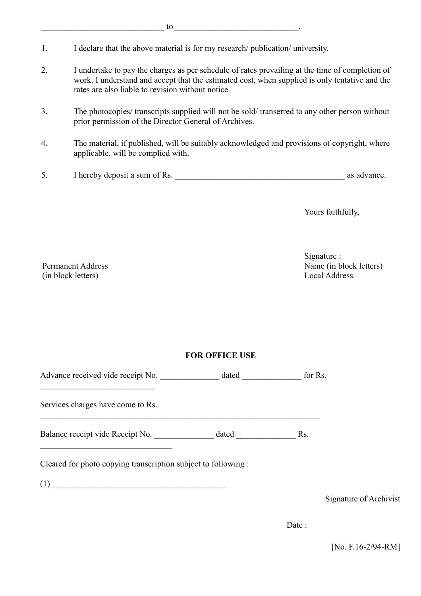- 1. I declare that the above material is for my research/ publication/ university.
- 2. I undertake to pay the charges as per schedule of rates prevailing at the time of completion of work. I understand and accept that the estimated cost, when supplied is only tentative and the rates are also liable to revision without notice.
- 3. The photocopies/ transcripts supplied will not be sold/ transerred to any other person without prior permission of the Director General of Archives.
- 4. The material, if published, will be suitably acknowledged and provisions of copyright, where applicable, will be complied with.
- 5. I hereby deposit a sum of Rs. \_\_\_\_\_\_\_\_\_\_\_\_\_\_\_\_\_\_\_\_\_\_\_\_\_\_\_\_\_\_\_\_\_\_\_\_\_\_\_\_ as advance.

Yours faithfully,

Permanent Address (in block letters)

Signature : Name (in block letters) Local Address.

#### **FOR OFFICE USE**

 $\mathcal{L}_\text{max} = \mathcal{L}_\text{max} = \mathcal{L}_\text{max} = \mathcal{L}_\text{max} = \mathcal{L}_\text{max} = \mathcal{L}_\text{max} = \mathcal{L}_\text{max} = \mathcal{L}_\text{max} = \mathcal{L}_\text{max} = \mathcal{L}_\text{max} = \mathcal{L}_\text{max} = \mathcal{L}_\text{max} = \mathcal{L}_\text{max} = \mathcal{L}_\text{max} = \mathcal{L}_\text{max} = \mathcal{L}_\text{max} = \mathcal{L}_\text{max} = \mathcal{L}_\text{max} = \mathcal{$ 

Advance received vide receipt No. \_\_\_\_\_\_\_\_\_\_\_\_\_\_\_ dated \_\_\_\_\_\_\_\_\_\_\_\_\_\_\_ for Rs.

Services charges have come to Rs.

 $\mathcal{L}_\text{max}$ 

\_\_\_\_\_\_\_\_\_\_\_\_\_\_\_\_\_\_\_\_\_\_\_\_\_\_\_

Balance receipt vide Receipt No. dated Rs.

Cleared for photo copying transcription subject to following :

 $(1)$ 

Signature of Archivist

Date:

[No. F.16-2/94-RM]